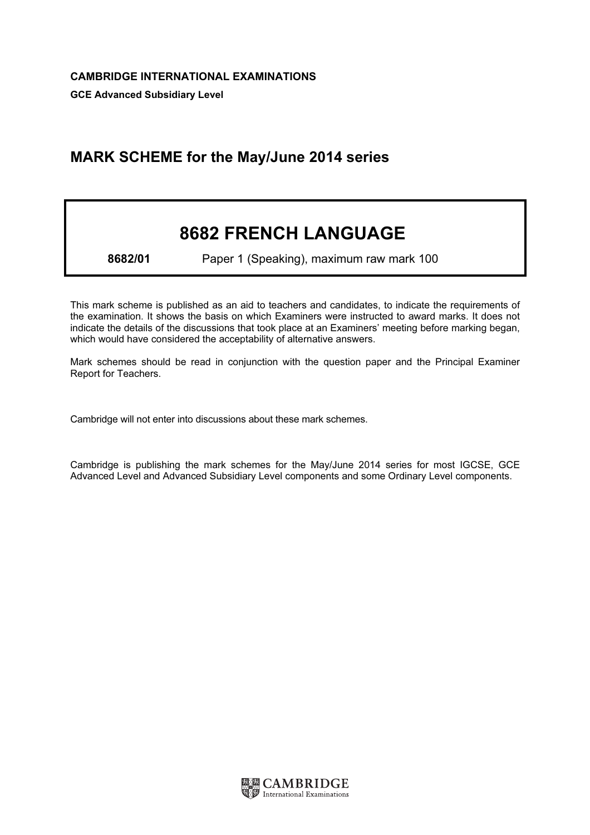## MARK SCHEME for the May/June 2014 series

## 8682 FRENCH LANGUAGE

8682/01 Paper 1 (Speaking), maximum raw mark 100

This mark scheme is published as an aid to teachers and candidates, to indicate the requirements of the examination. It shows the basis on which Examiners were instructed to award marks. It does not indicate the details of the discussions that took place at an Examiners' meeting before marking began, which would have considered the acceptability of alternative answers.

Mark schemes should be read in conjunction with the question paper and the Principal Examiner Report for Teachers.

Cambridge will not enter into discussions about these mark schemes.

Cambridge is publishing the mark schemes for the May/June 2014 series for most IGCSE, GCE Advanced Level and Advanced Subsidiary Level components and some Ordinary Level components.

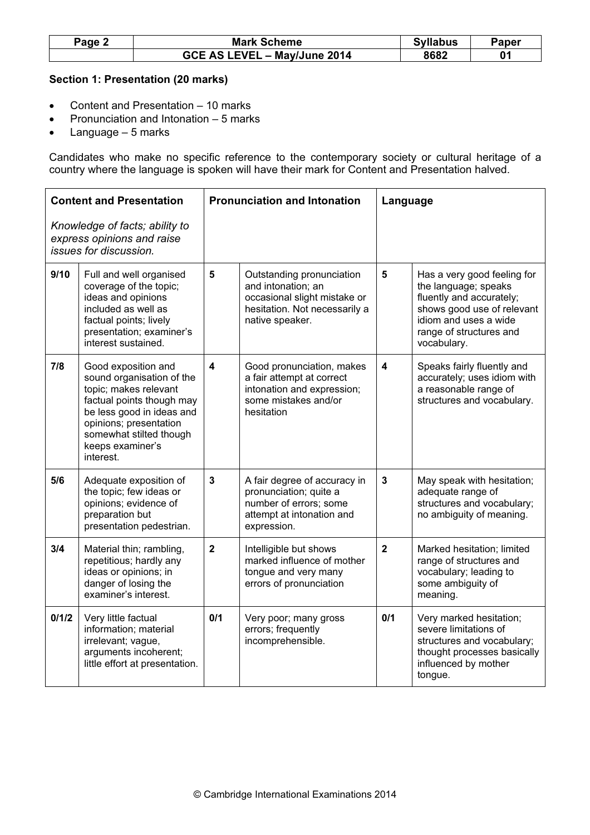| Page 2 | <b>Mark Scheme</b>           | <b>Syllabus</b> | Paper |
|--------|------------------------------|-----------------|-------|
|        | GCE AS LEVEL - May/June 2014 | 8682            |       |

## Section 1: Presentation (20 marks)

- Content and Presentation 10 marks
- Pronunciation and Intonation 5 marks
- Language 5 marks

Candidates who make no specific reference to the contemporary society or cultural heritage of a country where the language is spoken will have their mark for Content and Presentation halved.

| <b>Content and Presentation</b>                                                        |                                                                                                                                                                                                                           | <b>Pronunciation and Intonation</b> |                                                                                                                                     | Language                |                                                                                                                                                                                  |
|----------------------------------------------------------------------------------------|---------------------------------------------------------------------------------------------------------------------------------------------------------------------------------------------------------------------------|-------------------------------------|-------------------------------------------------------------------------------------------------------------------------------------|-------------------------|----------------------------------------------------------------------------------------------------------------------------------------------------------------------------------|
| Knowledge of facts; ability to<br>express opinions and raise<br>issues for discussion. |                                                                                                                                                                                                                           |                                     |                                                                                                                                     |                         |                                                                                                                                                                                  |
| 9/10                                                                                   | Full and well organised<br>coverage of the topic;<br>ideas and opinions<br>included as well as<br>factual points; lively<br>presentation; examiner's<br>interest sustained.                                               | 5                                   | Outstanding pronunciation<br>and intonation; an<br>occasional slight mistake or<br>hesitation. Not necessarily a<br>native speaker. | $5\phantom{1}$          | Has a very good feeling for<br>the language; speaks<br>fluently and accurately;<br>shows good use of relevant<br>idiom and uses a wide<br>range of structures and<br>vocabulary. |
| 7/8                                                                                    | Good exposition and<br>sound organisation of the<br>topic; makes relevant<br>factual points though may<br>be less good in ideas and<br>opinions; presentation<br>somewhat stilted though<br>keeps examiner's<br>interest. | $\blacktriangle$                    | Good pronunciation, makes<br>a fair attempt at correct<br>intonation and expression;<br>some mistakes and/or<br>hesitation          | $\overline{\mathbf{4}}$ | Speaks fairly fluently and<br>accurately; uses idiom with<br>a reasonable range of<br>structures and vocabulary.                                                                 |
| 5/6                                                                                    | Adequate exposition of<br>the topic; few ideas or<br>opinions; evidence of<br>preparation but<br>presentation pedestrian.                                                                                                 | $\overline{\mathbf{3}}$             | A fair degree of accuracy in<br>pronunciation; quite a<br>number of errors; some<br>attempt at intonation and<br>expression.        | $\mathbf{3}$            | May speak with hesitation;<br>adequate range of<br>structures and vocabulary;<br>no ambiguity of meaning.                                                                        |
| 3/4                                                                                    | Material thin; rambling,<br>repetitious; hardly any<br>ideas or opinions; in<br>danger of losing the<br>examiner's interest.                                                                                              | $\overline{2}$                      | Intelligible but shows<br>marked influence of mother<br>tongue and very many<br>errors of pronunciation                             | $\overline{2}$          | Marked hesitation; limited<br>range of structures and<br>vocabulary; leading to<br>some ambiguity of<br>meaning.                                                                 |
| 0/1/2                                                                                  | Very little factual<br>information; material<br>irrelevant; vague,<br>arguments incoherent;<br>little effort at presentation.                                                                                             | 0/1                                 | Very poor; many gross<br>errors; frequently<br>incomprehensible.                                                                    | 0/1                     | Very marked hesitation;<br>severe limitations of<br>structures and vocabulary;<br>thought processes basically<br>influenced by mother<br>tongue.                                 |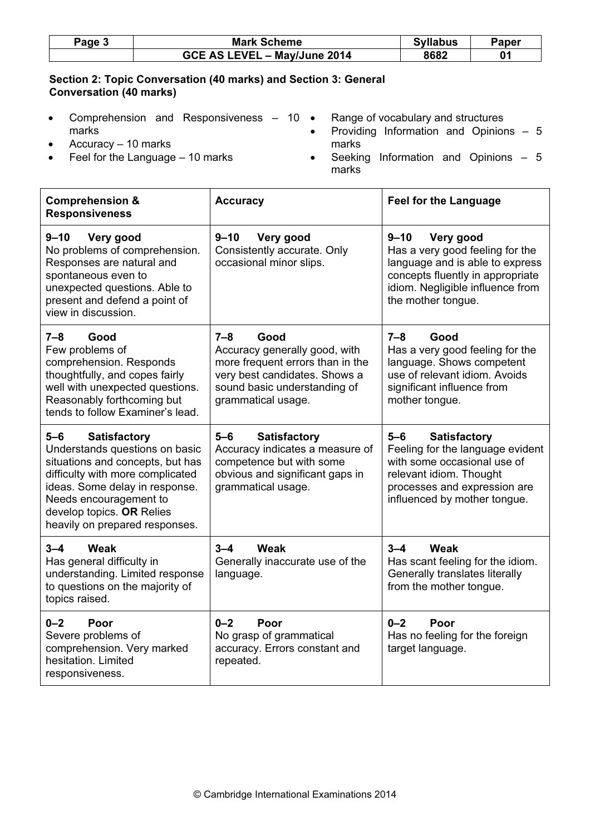| Page: | <b>Mark Scheme</b>           | <b>Syllabus</b> | Paper |
|-------|------------------------------|-----------------|-------|
|       | GCE AS LEVEL - May/June 2014 | 8682            | 01    |

## Section 2: Topic Conversation (40 marks) and Section 3: General Conversation (40 marks)

- Comprehension and Responsiveness 10 marks • Accuracy – 10 marks • Range of vocabulary and structures • Providing Information and Opinions – 5 marks
- Feel for the Language  $-10$  marks
- Seeking Information and Opinions 5 marks

 $\top$ 

 $\overline{\phantom{a}}$ 

| <b>Comprehension &amp;</b><br><b>Responsiveness</b>                                                                                                                                                                                                                 | <b>Accuracy</b>                                                                                                                                                             | <b>Feel for the Language</b>                                                                                                                                                               |  |
|---------------------------------------------------------------------------------------------------------------------------------------------------------------------------------------------------------------------------------------------------------------------|-----------------------------------------------------------------------------------------------------------------------------------------------------------------------------|--------------------------------------------------------------------------------------------------------------------------------------------------------------------------------------------|--|
| $9 - 10$<br>Very good<br>No problems of comprehension.<br>Responses are natural and<br>spontaneous even to<br>unexpected questions. Able to<br>present and defend a point of<br>view in discussion.                                                                 | $9 - 10$<br>Very good<br>Consistently accurate. Only<br>occasional minor slips.                                                                                             | $9 - 10$<br>Very good<br>Has a very good feeling for the<br>language and is able to express<br>concepts fluently in appropriate<br>idiom. Negligible influence from<br>the mother tongue.  |  |
| $7 - 8$<br>Good<br>Few problems of<br>comprehension. Responds<br>thoughtfully, and copes fairly<br>well with unexpected questions.<br>Reasonably forthcoming but<br>tends to follow Examiner's lead.                                                                | $7 - 8$<br>Good<br>Accuracy generally good, with<br>more frequent errors than in the<br>very best candidates. Shows a<br>sound basic understanding of<br>grammatical usage. | $7 - 8$<br>Good<br>Has a very good feeling for the<br>language. Shows competent<br>use of relevant idiom. Avoids<br>significant influence from<br>mother tongue.                           |  |
| $5 - 6$<br><b>Satisfactory</b><br>Understands questions on basic<br>situations and concepts, but has<br>difficulty with more complicated<br>ideas. Some delay in response.<br>Needs encouragement to<br>develop topics. OR Relies<br>heavily on prepared responses. | $5-6$<br><b>Satisfactory</b><br>Accuracy indicates a measure of<br>competence but with some<br>obvious and significant gaps in<br>grammatical usage.                        | $5-6$<br><b>Satisfactory</b><br>Feeling for the language evident<br>with some occasional use of<br>relevant idiom. Thought<br>processes and expression are<br>influenced by mother tongue. |  |
| $3 - 4$<br>Weak<br>Has general difficulty in<br>understanding. Limited response<br>to questions on the majority of<br>topics raised.                                                                                                                                | Weak<br>$3 - 4$<br>Generally inaccurate use of the<br>language.                                                                                                             | Weak<br>$3 - 4$<br>Has scant feeling for the idiom.<br>Generally translates literally<br>from the mother tongue.                                                                           |  |
| $0 - 2$<br>Poor<br>Severe problems of<br>comprehension. Very marked<br>hesitation. Limited<br>responsiveness.                                                                                                                                                       | $0 - 2$<br>Poor<br>No grasp of grammatical<br>accuracy. Errors constant and<br>repeated.                                                                                    | $0 - 2$<br>Poor<br>Has no feeling for the foreign<br>target language.                                                                                                                      |  |